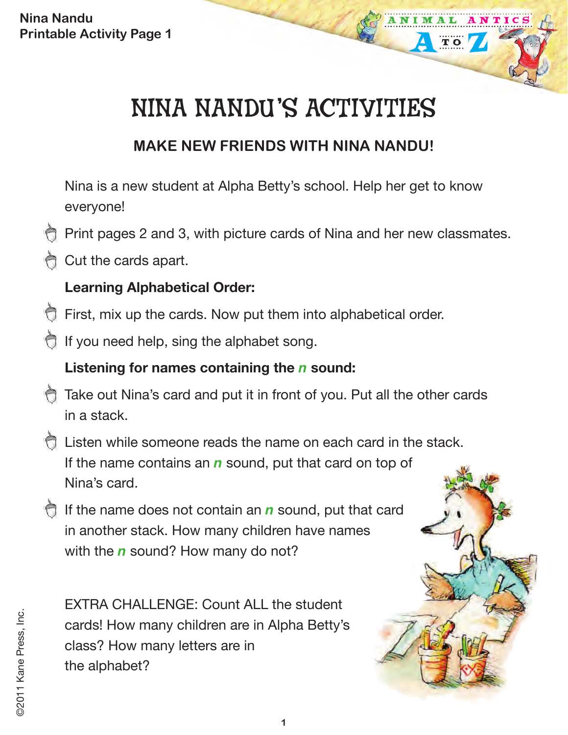# NINA NANDU'S ACTIVITIES

## **MAKE NEW FRIENDS WITH NINA NANDU!**

Nina is a new student at Alpha Betty's school. Help her get to know everyone!

- Print pages 2 and 3, with picture cards of Nina and her new classmates.
- Cut the cards apart.

### **Learning Alphabetical Order:**

- First, mix up the cards. Now put them into alphabetical order.
- If you need help, sing the alphabet song.

#### **Listening for names containing the** *n* **sound:**

- Take out Nina's card and put it in front of you. Put all the other cards in a stack.
- Listen while someone reads the name on each card in the stack. If the name contains an *n* sound, put that card on top of Nina's card.
- **If the name does not contain an** *n* sound, put that card in another stack. How many children have names with the *n* sound? How many do not?

EXTRA CHALLENGE: Count ALL the student cards! How many children are in Alpha Betty's class? How many letters are in the alphabet?

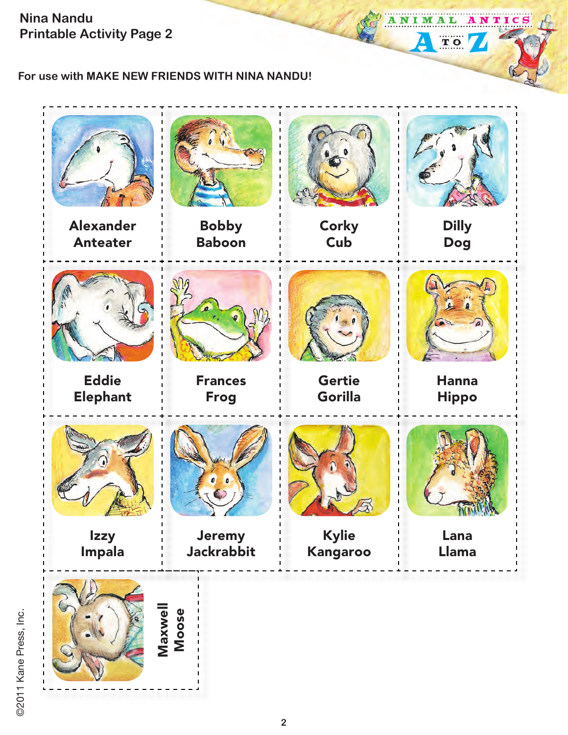**For use with MAKE NEW FRIENDS WITH NINA NANDU!**



ANTICS

ANIM

 $\overline{\mathbf{A}}$ 

AL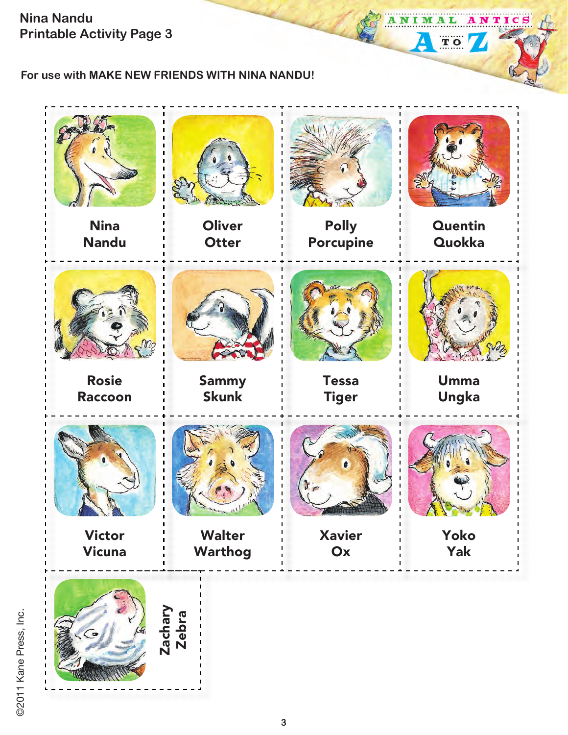ANTICS ANIMAL

**TO** 

 $\overline{\mathbf{A}}$ 

#### **For use with MAKE NEW FRIENDS WITH NINA NANDU!**



©2011 Kane Press, Inc. ©2011 Kane Press, Inc.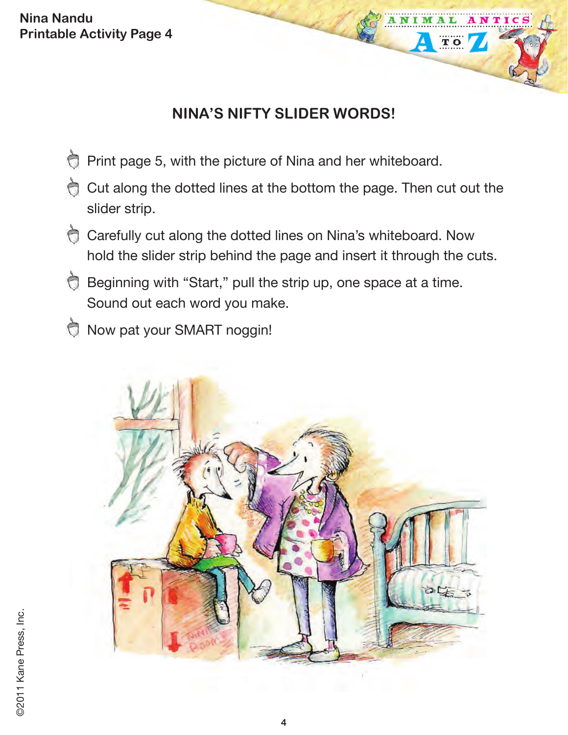## **NINA'S NIFTY SLIDER WORDS!**

TIC

- Ò Print page 5, with the picture of Nina and her whiteboard.
- Cut along the dotted lines at the bottom the page. Then cut out the slider strip.
- Carefully cut along the dotted lines on Nina's whiteboard. Now hold the slider strip behind the page and insert it through the cuts.
- Beginning with "Start," pull the strip up, one space at a time. Sound out each word you make.
- Now pat your SMART noggin!

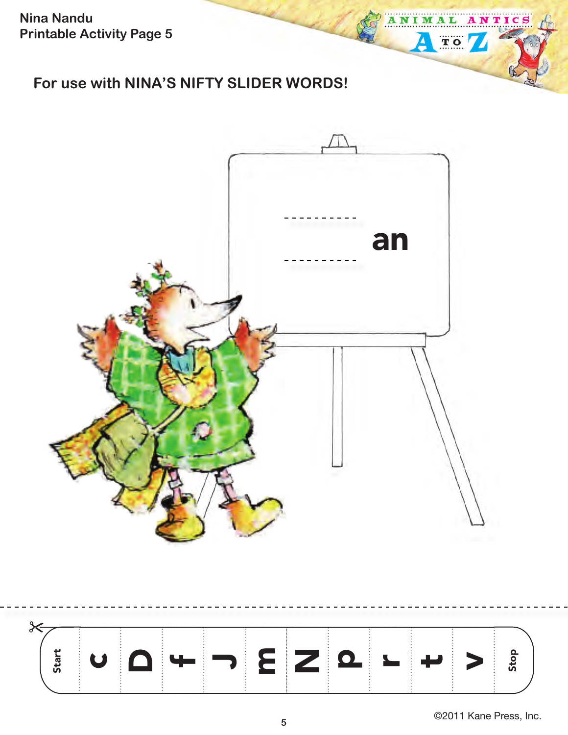## **For use with NINA'S NIFTY SLIDER WORDS!**





©2011 Kane Press, Inc. **<sup>5</sup>**

ANTICS

ANIM

 $\overline{\mathbf{A}}$ 

A L